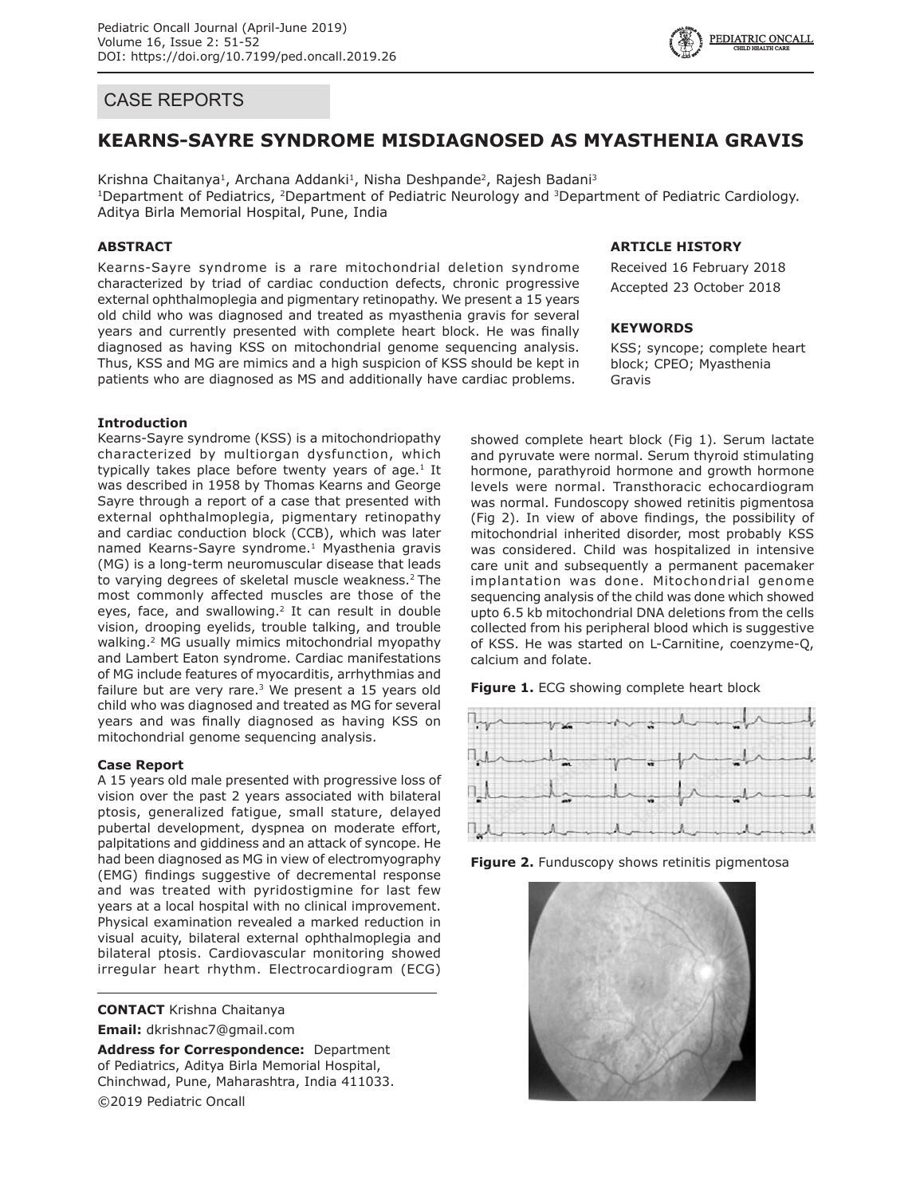# CASE REPORTS

## **KEARNS-SAYRE SYNDROME MISDIAGNOSED AS MYASTHENIA GRAVIS**

Krishna Chaitanya<sup>1</sup>, Archana Addanki<sup>1</sup>, Nisha Deshpande<sup>2</sup>, Rajesh Badani<sup>3</sup> <sup>1</sup>Department of Pediatrics, <sup>2</sup>Department of Pediatric Neurology and <sup>3</sup>Department of Pediatric Cardiology. Aditya Birla Memorial Hospital, Pune, India

#### **ABSTRACT**

Kearns-Sayre syndrome is a rare mitochondrial deletion syndrome characterized by triad of cardiac conduction defects, chronic progressive external ophthalmoplegia and pigmentary retinopathy. We present a 15 years old child who was diagnosed and treated as myasthenia gravis for several years and currently presented with complete heart block. He was finally diagnosed as having KSS on mitochondrial genome sequencing analysis. Thus, KSS and MG are mimics and a high suspicion of KSS should be kept in patients who are diagnosed as MS and additionally have cardiac problems.

#### **Introduction**

Kearns-Sayre syndrome (KSS) is a mitochondriopathy characterized by multiorgan dysfunction, which typically takes place before twenty years of age. $1$  It was described in 1958 by Thomas Kearns and George Sayre through a report of a case that presented with external ophthalmoplegia, pigmentary retinopathy and cardiac conduction block (CCB), which was later named Kearns-Sayre syndrome.<sup>1</sup> Myasthenia gravis (MG) is a long-term neuromuscular disease that leads to varying degrees of skeletal muscle weakness.<sup>2</sup> The most commonly affected muscles are those of the eyes, face, and swallowing.<sup>2</sup> It can result in double vision, drooping eyelids, trouble talking, and trouble walking.2 MG usually mimics mitochondrial myopathy and Lambert Eaton syndrome. Cardiac manifestations of MG include features of myocarditis, arrhythmias and failure but are very rare.<sup>3</sup> We present a 15 years old child who was diagnosed and treated as MG for several years and was finally diagnosed as having KSS on mitochondrial genome sequencing analysis.

#### **Case Report**

A 15 years old male presented with progressive loss of vision over the past 2 years associated with bilateral ptosis, generalized fatigue, small stature, delayed pubertal development, dyspnea on moderate effort, palpitations and giddiness and an attack of syncope. He had been diagnosed as MG in view of electromyography (EMG) findings suggestive of decremental response and was treated with pyridostigmine for last few years at a local hospital with no clinical improvement. Physical examination revealed a marked reduction in visual acuity, bilateral external ophthalmoplegia and bilateral ptosis. Cardiovascular monitoring showed irregular heart rhythm. Electrocardiogram (ECG)

**CONTACT** Krishna Chaitanya

**Email:** dkrishnac7@gmail.com

**Address for Correspondence:** Department of Pediatrics, Aditya Birla Memorial Hospital, Chinchwad, Pune, Maharashtra, India 411033. ©2019 Pediatric Oncall

## **ARTICLE HISTORY**

Received 16 February 2018 Accepted 23 October 2018

#### **KEYWORDS**

KSS; syncope; complete heart block; CPEO; Myasthenia Gravis

showed complete heart block (Fig 1). Serum lactate and pyruvate were normal. Serum thyroid stimulating hormone, parathyroid hormone and growth hormone levels were normal. Transthoracic echocardiogram was normal. Fundoscopy showed retinitis pigmentosa (Fig 2). In view of above findings, the possibility of mitochondrial inherited disorder, most probably KSS was considered. Child was hospitalized in intensive care unit and subsequently a permanent pacemaker implantation was done. Mitochondrial genome sequencing analysis of the child was done which showed upto 6.5 kb mitochondrial DNA deletions from the cells collected from his peripheral blood which is suggestive of KSS. He was started on L-Carnitine, coenzyme-Q, calcium and folate.





**Figure 2.** Funduscopy shows retinitis pigmentosa